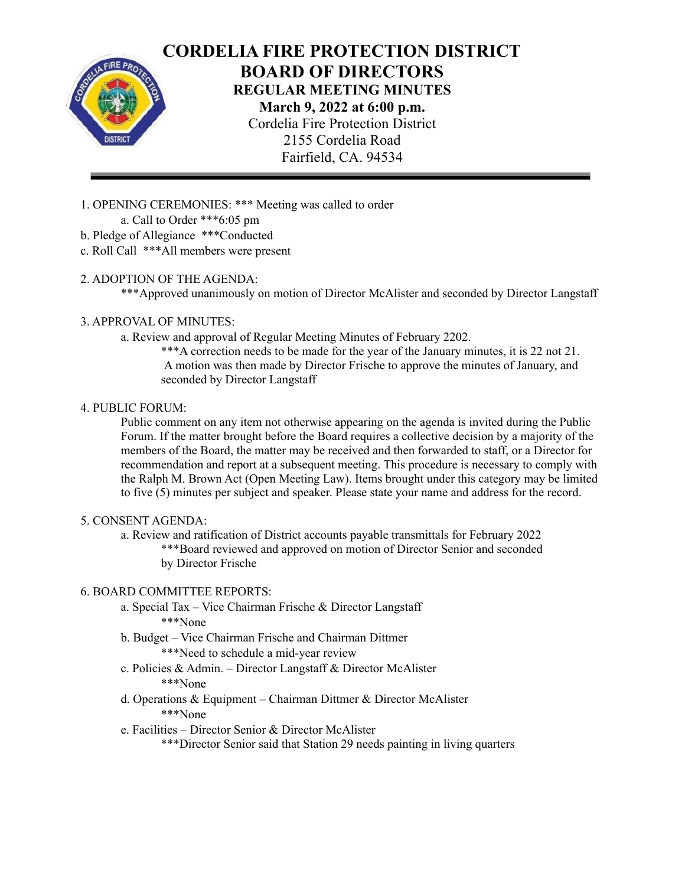

# **CORDELIA FIRE PROTECTION DISTRICT BOARD OF DIRECTORS REGULAR MEETING MINUTES March 9, 2022 at 6:00 p.m.** Cordelia Fire Protection District 2155 Cordelia Road

Fairfield, CA. 94534

- 1. OPENING CEREMONIES: \*\*\* Meeting was called to order a. Call to Order \*\*\*6:05 pm
- b. Pledge of Allegiance \*\*\*Conducted
- c. Roll Call \*\*\*All members were present
- 2. ADOPTION OF THE AGENDA:

\*\*\*Approved unanimously on motion of Director McAlister and seconded by Director Langstaff

# 3. APPROVAL OF MINUTES:

a. Review and approval of Regular Meeting Minutes of February 2202.

\*\*\*A correction needs to be made for the year of the January minutes, it is 22 not 21. A motion was then made by Director Frische to approve the minutes of January, and seconded by Director Langstaff

# 4. PUBLIC FORUM:

Public comment on any item not otherwise appearing on the agenda is invited during the Public Forum. If the matter brought before the Board requires a collective decision by a majority of the members of the Board, the matter may be received and then forwarded to staff, or a Director for recommendation and report at a subsequent meeting. This procedure is necessary to comply with the Ralph M. Brown Act (Open Meeting Law). Items brought under this category may be limited to five (5) minutes per subject and speaker. Please state your name and address for the record.

## 5. CONSENT AGENDA:

a. Review and ratification of District accounts payable transmittals for February 2022 \*\*\*Board reviewed and approved on motion of Director Senior and seconded by Director Frische

## 6. BOARD COMMITTEE REPORTS:

- a. Special Tax Vice Chairman Frische & Director Langstaff \*\*\*None
- b. Budget Vice Chairman Frische and Chairman Dittmer \*\*\*Need to schedule a mid-year review
- c. Policies & Admin. Director Langstaff & Director McAlister \*\*\*None
- d. Operations & Equipment Chairman Dittmer & Director McAlister \*\*\*None
- e. Facilities Director Senior & Director McAlister

\*\*\*Director Senior said that Station 29 needs painting in living quarters